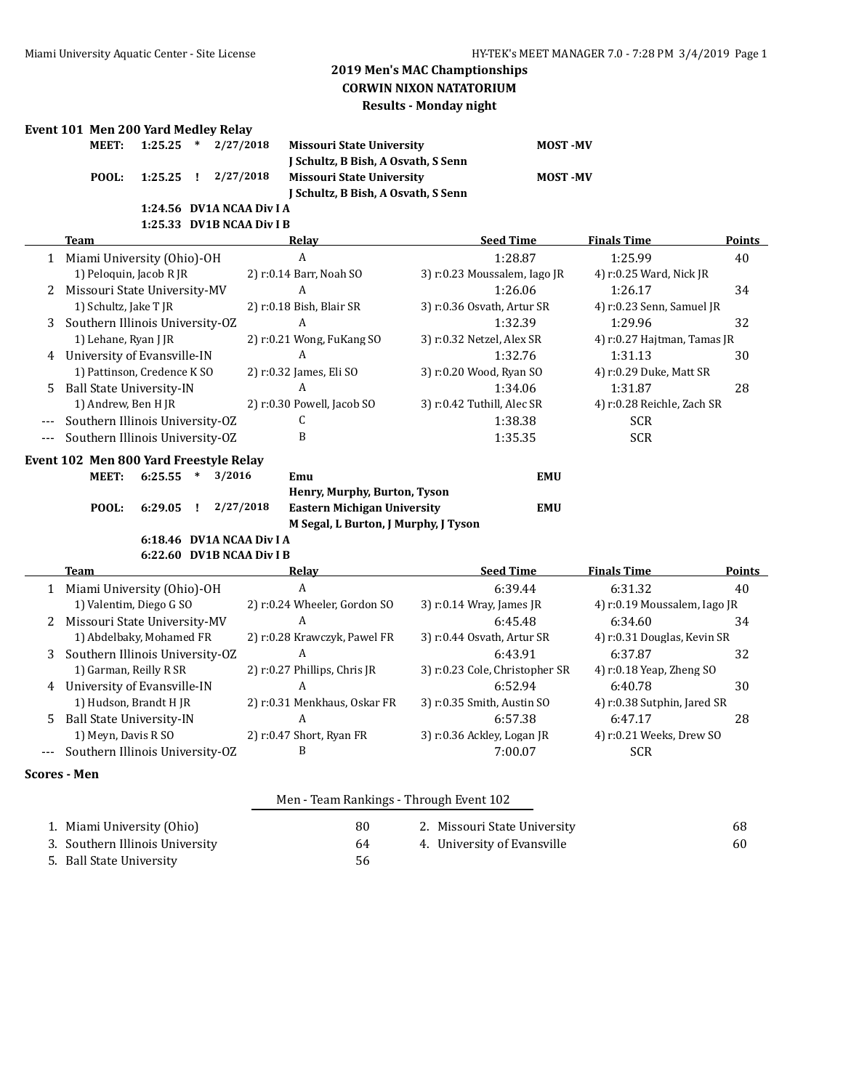# **2019 Men's MAC Champtionships CORWIN NIXON NATATORIUM Results - Monday night**

# **Event 101 Men 200 Yard Medley Relay**

| LVI MEN ZOO TALU MEUJEV REJAV |             |                           |                                     |                  |                    |        |
|-------------------------------|-------------|---------------------------|-------------------------------------|------------------|--------------------|--------|
| MEET:                         | $1:25.25$ * | 2/27/2018                 | <b>Missouri State University</b>    | <b>MOST-MV</b>   |                    |        |
|                               |             |                           | J Schultz, B Bish, A Osvath, S Senn |                  |                    |        |
| POOL:                         | $1:25.25$ ! | 2/27/2018                 | Missouri State University           | <b>MOST-MV</b>   |                    |        |
|                               |             |                           | J Schultz, B Bish, A Osvath, S Senn |                  |                    |        |
|                               |             | 1:24.56 DV1A NCAA Div I A |                                     |                  |                    |        |
|                               |             | 1:25.33 DV1B NCAA Div I B |                                     |                  |                    |        |
| Team                          |             |                           | Relav                               | <b>Seed Time</b> | <b>Finals Time</b> | Points |

|          | Miami University (Ohio)-OH                                  | A                           | 1:28.87                      | 1:25.99                     | 40 |  |  |
|----------|-------------------------------------------------------------|-----------------------------|------------------------------|-----------------------------|----|--|--|
|          | 1) Peloquin, Jacob R JR                                     | 2) r:0.14 Barr, Noah SO     | 3) r:0.23 Moussalem, Iago JR | 4) r:0.25 Ward, Nick JR     |    |  |  |
| 2        | Missouri State University-MV                                | A                           | 1:26.06                      | 1:26.17                     | 34 |  |  |
|          | 1) Schultz, Jake T JR                                       | 2) r:0.18 Bish, Blair SR    | 3) r:0.36 Osvath, Artur SR   | 4) r:0.23 Senn, Samuel JR   |    |  |  |
| 3        | Southern Illinois University-OZ                             | A                           | 1:32.39                      | 1:29.96                     | 32 |  |  |
|          | 1) Lehane, Ryan J JR                                        | 2) $r:0.21$ Wong, FuKang SO | 3) r:0.32 Netzel, Alex SR    | 4) r:0.27 Hajtman, Tamas JR |    |  |  |
| 4        | University of Evansville-IN                                 | A                           | 1:32.76                      | 1:31.13                     | 30 |  |  |
|          | 1) Pattinson, Credence K SO                                 | 2) r:0.32 James, Eli SO     | 3) r:0.20 Wood, Ryan SO      | 4) r:0.29 Duke, Matt SR     |    |  |  |
| .5       | Ball State University-IN                                    | A                           | 1:34.06                      | 1:31.87                     | 28 |  |  |
|          | 1) Andrew, Ben H JR                                         | 2) r:0.30 Powell, Jacob SO  | 3) r:0.42 Tuthill, Alec SR   | 4) r:0.28 Reichle, Zach SR  |    |  |  |
| $---$    | Southern Illinois University-OZ                             |                             | 1:38.38                      | <b>SCR</b>                  |    |  |  |
| $\cdots$ | Southern Illinois University-OZ                             | B                           | 1:35.35                      | <b>SCR</b>                  |    |  |  |
|          | Event 102 Men 800 Yard Freestyle Relay                      |                             |                              |                             |    |  |  |
|          | 3/2016<br><b>MEET:</b><br>6:25.55<br><b>EMU</b><br>Emu<br>∗ |                             |                              |                             |    |  |  |

| $6:29.05$ ! $2/27/2018$<br>M Segal, L Burton, J Murphy, J Tyson |  | POOL: |  |  |  | Henry, Murphy, Burton, Tyson<br>Eastern Michigan University | EMU |  |
|-----------------------------------------------------------------|--|-------|--|--|--|-------------------------------------------------------------|-----|--|
|-----------------------------------------------------------------|--|-------|--|--|--|-------------------------------------------------------------|-----|--|

### **6:18.46 DV1A NCAA Div I A 6:22.60 DV1B NCAA Div I B**

| Team                                | Relay                        | <b>Seed Time</b>               | <b>Finals Time</b>           | Points |
|-------------------------------------|------------------------------|--------------------------------|------------------------------|--------|
| 1 Miami University (Ohio)-OH        | A                            | 6:39.44                        | 6:31.32                      | 40     |
| 1) Valentim, Diego G SO             | 2) r:0.24 Wheeler, Gordon SO | 3) r:0.14 Wray, James JR       | 4) r:0.19 Moussalem, Iago JR |        |
| 2 Missouri State University-MV      | A                            | 6:45.48                        | 6:34.60                      | 34     |
| 1) Abdelbaky, Mohamed FR            | 2) r:0.28 Krawczyk, Pawel FR | 3) r:0.44 Osvath, Artur SR     | 4) r:0.31 Douglas, Kevin SR  |        |
| 3 Southern Illinois University-OZ   | A                            | 6:43.91                        | 6:37.87                      | 32     |
| 1) Garman, Reilly R SR              | 2) r:0.27 Phillips, Chris JR | 3) r:0.23 Cole, Christopher SR | 4) $r:0.18$ Yeap, Zheng SO   |        |
| 4 University of Evansville-IN       | A                            | 6:52.94                        | 6:40.78                      | 30     |
| 1) Hudson, Brandt HJR               | 2) r:0.31 Menkhaus, Oskar FR | 3) r:0.35 Smith, Austin SO     | 4) r:0.38 Sutphin, Jared SR  |        |
| 5 Ball State University-IN          | A                            | 6:57.38                        | 6:47.17                      | 28     |
| 1) Meyn, Davis R SO                 | 2) r:0.47 Short, Ryan FR     | 3) r:0.36 Ackley, Logan JR     | 4) r:0.21 Weeks, Drew SO     |        |
| --- Southern Illinois University-OZ | в                            | 7:00.07                        | <b>SCR</b>                   |        |

### **Scores - Men**

|                                 |    | Men - Team Rankings - Through Event 102 |    |
|---------------------------------|----|-----------------------------------------|----|
| 1. Miami University (Ohio)      | 80 | 2. Missouri State University            | 68 |
| 3. Southern Illinois University | 64 | 4. University of Evansville             | 60 |
| 5. Ball State University        | 56 |                                         |    |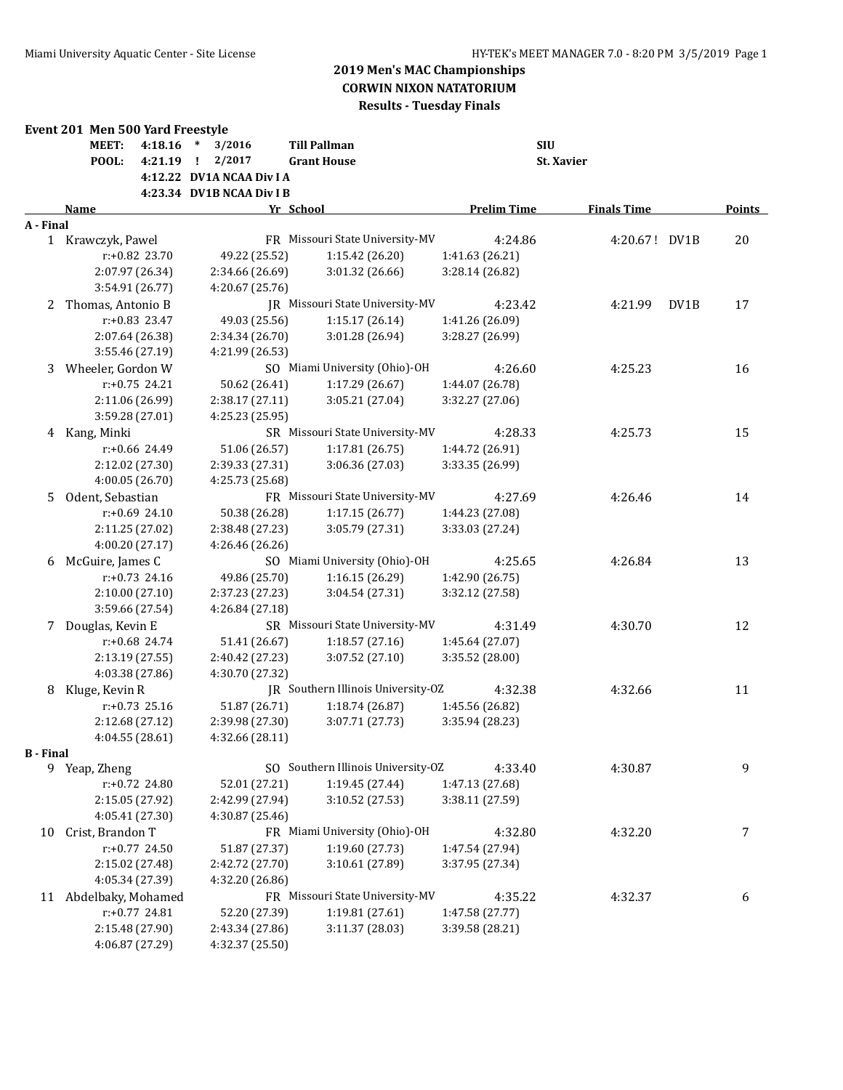|           | Event 201 Men 500 Yard Freestyle |                  |                           |                                    |                    |                    |      |               |
|-----------|----------------------------------|------------------|---------------------------|------------------------------------|--------------------|--------------------|------|---------------|
|           | <b>MEET:</b>                     | 4:18.16          | * $3/2016$                | <b>Till Pallman</b>                | <b>SIU</b>         |                    |      |               |
|           | POOL:                            | 4:21.19          | $1 \quad 2/2017$          | <b>Grant House</b>                 |                    | St. Xavier         |      |               |
|           |                                  |                  | 4:12.22 DV1A NCAA Div I A |                                    |                    |                    |      |               |
|           |                                  |                  | 4:23.34 DV1B NCAA Div I B |                                    |                    |                    |      |               |
|           | Name                             |                  |                           | Yr School                          | <b>Prelim Time</b> | <b>Finals Time</b> |      | <b>Points</b> |
| A - Final |                                  |                  |                           |                                    |                    |                    |      |               |
|           | 1 Krawczyk, Pawel                |                  |                           | FR Missouri State University-MV    | 4:24.86            | 4:20.67! DV1B      |      | 20            |
|           |                                  | r:+0.82 23.70    | 49.22 (25.52)             | 1:15.42 (26.20)                    | 1:41.63 (26.21)    |                    |      |               |
|           |                                  | 2:07.97 (26.34)  | 2:34.66 (26.69)           | 3:01.32 (26.66)                    | 3:28.14 (26.82)    |                    |      |               |
|           |                                  | 3:54.91 (26.77)  | 4:20.67 (25.76)           |                                    |                    |                    |      |               |
| 2         | Thomas, Antonio B                |                  |                           | JR Missouri State University-MV    | 4:23.42            | 4:21.99            | DV1B | 17            |
|           |                                  | $r: +0.83$ 23.47 | 49.03 (25.56)             | 1:15.17 (26.14)                    | 1:41.26 (26.09)    |                    |      |               |
|           |                                  | 2:07.64 (26.38)  | 2:34.34 (26.70)           | 3:01.28 (26.94)                    | 3:28.27 (26.99)    |                    |      |               |
|           |                                  | 3:55.46 (27.19)  | 4:21.99 (26.53)           |                                    |                    |                    |      |               |
| 3         | Wheeler, Gordon W                |                  |                           | SO Miami University (Ohio)-OH      | 4:26.60            | 4:25.23            |      | 16            |
|           |                                  | $r: +0.75$ 24.21 | 50.62 (26.41)             | 1:17.29 (26.67)                    | 1:44.07 (26.78)    |                    |      |               |
|           |                                  | 2:11.06 (26.99)  | 2:38.17 (27.11)           | 3:05.21 (27.04)                    | 3:32.27 (27.06)    |                    |      |               |
|           |                                  | 3:59.28 (27.01)  | 4:25.23 (25.95)           |                                    |                    |                    |      |               |
| 4         | Kang, Minki                      |                  |                           | SR Missouri State University-MV    | 4:28.33            | 4:25.73            |      | 15            |
|           |                                  | $r: +0.66$ 24.49 | 51.06 (26.57)             | 1:17.81 (26.75)                    | 1:44.72 (26.91)    |                    |      |               |
|           |                                  | 2:12.02 (27.30)  | 2:39.33 (27.31)           | 3:06.36 (27.03)                    | 3:33.35 (26.99)    |                    |      |               |
|           |                                  | 4:00.05 (26.70)  | 4:25.73 (25.68)           |                                    |                    |                    |      |               |
| 5.        | Odent, Sebastian                 |                  |                           | FR Missouri State University-MV    | 4:27.69            | 4:26.46            |      | 14            |
|           |                                  | $r: +0.69$ 24.10 | 50.38 (26.28)             | 1:17.15(26.77)                     | 1:44.23 (27.08)    |                    |      |               |
|           |                                  | 2:11.25 (27.02)  | 2:38.48 (27.23)           | 3:05.79 (27.31)                    | 3:33.03 (27.24)    |                    |      |               |
|           |                                  | 4:00.20 (27.17)  | 4:26.46 (26.26)           |                                    |                    |                    |      |               |
| 6         | McGuire, James C                 |                  |                           | SO Miami University (Ohio)-OH      | 4:25.65            | 4:26.84            |      | 13            |
|           |                                  | $r: +0.73$ 24.16 | 49.86 (25.70)             | 1:16.15 (26.29)                    | 1:42.90 (26.75)    |                    |      |               |
|           |                                  | 2:10.00 (27.10)  | 2:37.23 (27.23)           | 3:04.54 (27.31)                    | 3:32.12 (27.58)    |                    |      |               |
|           |                                  | 3:59.66 (27.54)  | 4:26.84 (27.18)           |                                    |                    |                    |      |               |
| 7         | Douglas, Kevin E                 |                  |                           | SR Missouri State University-MV    | 4:31.49            | 4:30.70            |      | 12            |
|           |                                  | $r: +0.68$ 24.74 | 51.41 (26.67)             | 1:18.57(27.16)                     | 1:45.64 (27.07)    |                    |      |               |
|           |                                  | 2:13.19 (27.55)  | 2:40.42 (27.23)           | 3:07.52 (27.10)                    | 3:35.52 (28.00)    |                    |      |               |
|           |                                  | 4:03.38 (27.86)  | 4:30.70 (27.32)           |                                    |                    |                    |      |               |
| 8         | Kluge, Kevin R                   |                  |                           | JR Southern Illinois University-OZ | 4:32.38            | 4:32.66            |      | 11            |
|           |                                  | $r: +0.73$ 25.16 | 51.87 (26.71)             | 1:18.74 (26.87)                    | 1:45.56 (26.82)    |                    |      |               |
|           |                                  | 2:12.68 (27.12)  | 2:39.98 (27.30)           | 3:07.71 (27.73)                    | 3:35.94 (28.23)    |                    |      |               |
|           |                                  | 4:04.55 (28.61)  | 4:32.66 (28.11)           |                                    |                    |                    |      |               |
| B - Final |                                  |                  |                           |                                    |                    |                    |      |               |
|           | 9 Yeap, Zheng                    |                  |                           | SO Southern Illinois University-OZ | 4:33.40            | 4:30.87            |      | 9             |
|           |                                  | r:+0.72 24.80    | 52.01 (27.21)             | 1:19.45 (27.44)                    | 1:47.13 (27.68)    |                    |      |               |
|           |                                  | 2:15.05 (27.92)  | 2:42.99 (27.94)           | 3:10.52 (27.53)                    | 3:38.11 (27.59)    |                    |      |               |
|           |                                  | 4:05.41 (27.30)  | 4:30.87 (25.46)           |                                    |                    |                    |      |               |
| 10        | Crist, Brandon T                 |                  |                           | FR Miami University (Ohio)-OH      | 4:32.80            | 4:32.20            |      | 7             |
|           |                                  | r:+0.77 24.50    | 51.87 (27.37)             | 1:19.60 (27.73)                    | 1:47.54 (27.94)    |                    |      |               |
|           |                                  | 2:15.02 (27.48)  | 2:42.72 (27.70)           | 3:10.61 (27.89)                    | 3:37.95 (27.34)    |                    |      |               |
|           |                                  | 4:05.34 (27.39)  | 4:32.20 (26.86)           |                                    |                    |                    |      |               |
| 11        | Abdelbaky, Mohamed               |                  |                           | FR Missouri State University-MV    | 4:35.22            | 4:32.37            |      | 6             |
|           |                                  | $r: +0.77$ 24.81 | 52.20 (27.39)             | 1:19.81 (27.61)                    | 1:47.58 (27.77)    |                    |      |               |
|           |                                  | 2:15.48 (27.90)  | 2:43.34 (27.86)           | 3:11.37 (28.03)                    | 3:39.58 (28.21)    |                    |      |               |
|           |                                  | 4:06.87 (27.29)  | 4:32.37 (25.50)           |                                    |                    |                    |      |               |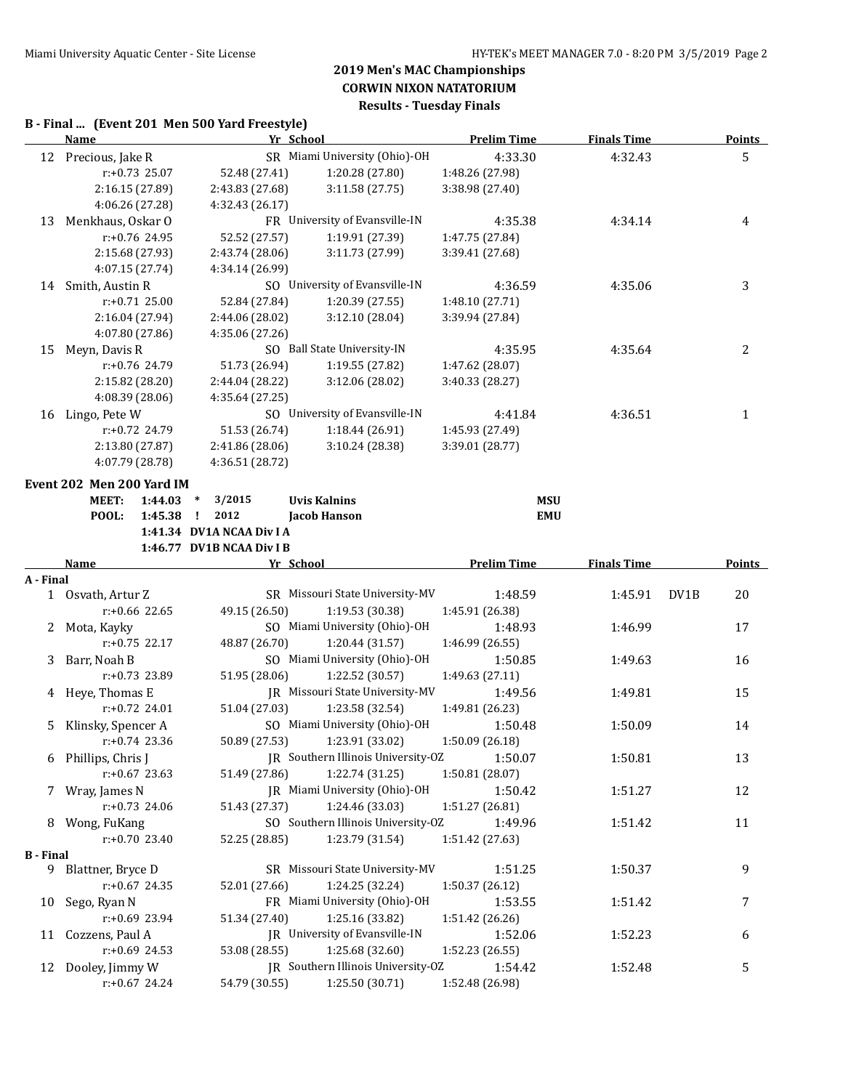## **B - Final ... (Event 201 Men 500 Yard Freestyle)**

|                  | Name                      |                    |                                 | Yr School                           | <b>Prelim Time</b> | <b>Finals Time</b> | Points        |
|------------------|---------------------------|--------------------|---------------------------------|-------------------------------------|--------------------|--------------------|---------------|
|                  | 12 Precious, Jake R       |                    |                                 | SR Miami University (Ohio)-OH       | 4:33.30            | 4:32.43            | 5             |
|                  | r:+0.73 25.07             |                    | 52.48 (27.41)                   | 1:20.28 (27.80)                     | 1:48.26 (27.98)    |                    |               |
|                  | 2:16.15 (27.89)           |                    | 2:43.83 (27.68)                 | 3:11.58 (27.75)                     | 3:38.98 (27.40)    |                    |               |
|                  | 4:06.26 (27.28)           |                    | 4:32.43 (26.17)                 |                                     |                    |                    |               |
| 13               | Menkhaus, Oskar O         |                    |                                 | FR University of Evansville-IN      | 4:35.38            | 4:34.14            | 4             |
|                  | r:+0.76 24.95             |                    | 52.52 (27.57)                   | 1:19.91 (27.39)                     | 1:47.75 (27.84)    |                    |               |
|                  | 2:15.68 (27.93)           |                    | 2:43.74 (28.06)                 | 3:11.73 (27.99)                     | 3:39.41 (27.68)    |                    |               |
|                  | 4:07.15 (27.74)           |                    | 4:34.14 (26.99)                 |                                     |                    |                    |               |
| 14               | Smith, Austin R           |                    |                                 | SO University of Evansville-IN      | 4:36.59            | 4:35.06            | 3             |
|                  | $r: +0.71$ 25.00          |                    | 52.84 (27.84)                   | 1:20.39 (27.55)                     | 1:48.10 (27.71)    |                    |               |
|                  | 2:16.04 (27.94)           |                    | 2:44.06 (28.02)                 | 3:12.10 (28.04)                     | 3:39.94 (27.84)    |                    |               |
|                  | 4:07.80 (27.86)           |                    | 4:35.06 (27.26)                 |                                     |                    |                    |               |
| 15               | Meyn, Davis R             |                    |                                 | SO Ball State University-IN         | 4:35.95            | 4:35.64            | 2             |
|                  | $r: +0.76$ 24.79          |                    | 51.73 (26.94)                   | 1:19.55 (27.82)                     | 1:47.62 (28.07)    |                    |               |
|                  | 2:15.82 (28.20)           |                    | 2:44.04 (28.22)                 | 3:12.06 (28.02)                     | 3:40.33 (28.27)    |                    |               |
|                  | 4:08.39 (28.06)           |                    | 4:35.64 (27.25)                 |                                     |                    |                    |               |
|                  | 16 Lingo, Pete W          |                    |                                 | SO University of Evansville-IN      | 4:41.84            | 4:36.51            | 1             |
|                  | r:+0.72 24.79             |                    | 51.53 (26.74)                   | 1:18.44 (26.91)                     | 1:45.93 (27.49)    |                    |               |
|                  | 2:13.80 (27.87)           |                    | 2:41.86 (28.06)                 | 3:10.24 (28.38)                     | 3:39.01 (28.77)    |                    |               |
|                  | 4:07.79 (28.78)           |                    | 4:36.51 (28.72)                 |                                     |                    |                    |               |
|                  |                           |                    |                                 |                                     |                    |                    |               |
|                  | Event 202 Men 200 Yard IM |                    |                                 |                                     |                    |                    |               |
|                  | <b>MEET:</b>              | 1:44.03<br>1:45.38 | 3/2015<br>$\ast$<br>2012        | <b>Uvis Kalnins</b><br>Jacob Hanson | <b>MSU</b>         |                    |               |
|                  | POOL:                     |                    | ÷.<br>1:41.34 DV1A NCAA Div I A |                                     | <b>EMU</b>         |                    |               |
|                  |                           |                    | 1:46.77 DV1B NCAA Div I B       |                                     |                    |                    |               |
|                  | Name                      |                    |                                 | Yr School                           | <b>Prelim Time</b> | <b>Finals Time</b> | <b>Points</b> |
| A - Final        |                           |                    |                                 |                                     |                    |                    |               |
|                  | 1 Osvath, Artur Z         |                    |                                 | SR Missouri State University-MV     | 1:48.59            | 1:45.91            | DV1B<br>20    |
|                  | $r: +0.66$ 22.65          |                    | 49.15 (26.50)                   | 1:19.53 (30.38)                     | 1:45.91 (26.38)    |                    |               |
| 2                | Mota, Kayky               |                    |                                 | SO Miami University (Ohio)-OH       | 1:48.93            | 1:46.99            | 17            |
|                  | $r: +0.75$ 22.17          |                    | 48.87 (26.70)                   | 1:20.44 (31.57)                     | 1:46.99 (26.55)    |                    |               |
|                  | 3 Barr, Noah B            |                    |                                 | SO Miami University (Ohio)-OH       | 1:50.85            | 1:49.63            | 16            |
|                  | r:+0.73 23.89             |                    | 51.95 (28.06)                   | 1:22.52 (30.57)                     | 1:49.63 (27.11)    |                    |               |
|                  | 4 Heye, Thomas E          |                    |                                 | IR Missouri State University-MV     | 1:49.56            | 1:49.81            | 15            |
|                  | $r: +0.72$ 24.01          |                    | 51.04 (27.03)                   | 1:23.58 (32.54)                     | 1:49.81 (26.23)    |                    |               |
| 5.               | Klinsky, Spencer A        |                    |                                 | SO Miami University (Ohio)-OH       | 1:50.48            | 1:50.09            | 14            |
|                  | $r: +0.74$ 23.36          |                    | 50.89 (27.53)                   | 1:23.91 (33.02)                     | 1:50.09 (26.18)    |                    |               |
|                  | 6 Phillips, Chris J       |                    |                                 | JR Southern Illinois University-OZ  | 1:50.07            | 1:50.81            | 13            |
|                  | $r: +0.67$ 23.63          |                    | 51.49 (27.86)                   | 1:22.74 (31.25)                     | 1:50.81 (28.07)    |                    |               |
|                  | 7 Wray, James N           |                    |                                 | JR Miami University (Ohio)-OH       | 1:50.42            | 1:51.27            | 12            |
|                  | $r: +0.73$ 24.06          |                    | 51.43 (27.37)                   | 1:24.46 (33.03)                     | 1:51.27 (26.81)    |                    |               |
|                  | 8 Wong, FuKang            |                    |                                 | SO Southern Illinois University-OZ  | 1:49.96            | 1:51.42            | 11            |
|                  | $r: +0.70$ 23.40          |                    | 52.25 (28.85)                   | 1:23.79 (31.54)                     | 1:51.42 (27.63)    |                    |               |
| <b>B</b> - Final |                           |                    |                                 |                                     |                    |                    |               |
|                  | 9 Blattner, Bryce D       |                    |                                 | SR Missouri State University-MV     | 1:51.25            | 1:50.37            | 9             |
|                  | r:+0.67 24.35             |                    | 52.01 (27.66)                   | 1:24.25 (32.24)                     | 1:50.37 (26.12)    |                    |               |
| 10               | Sego, Ryan N              |                    |                                 | FR Miami University (Ohio)-OH       | 1:53.55            | 1:51.42            | 7             |
|                  | r:+0.69 23.94             |                    | 51.34 (27.40)                   | 1:25.16 (33.82)                     | 1:51.42 (26.26)    |                    |               |
|                  | 11 Cozzens, Paul A        |                    |                                 |                                     |                    | 1:52.23            | 6             |
|                  |                           |                    |                                 | JR University of Evansville-IN      | 1:52.06            |                    |               |
|                  | $r: +0.69$ 24.53          |                    | 53.08 (28.55)                   | 1:25.68 (32.60)                     | 1:52.23 (26.55)    |                    |               |
|                  | 12 Dooley, Jimmy W        |                    |                                 | JR Southern Illinois University-OZ  | 1:54.42            | 1:52.48            | 5             |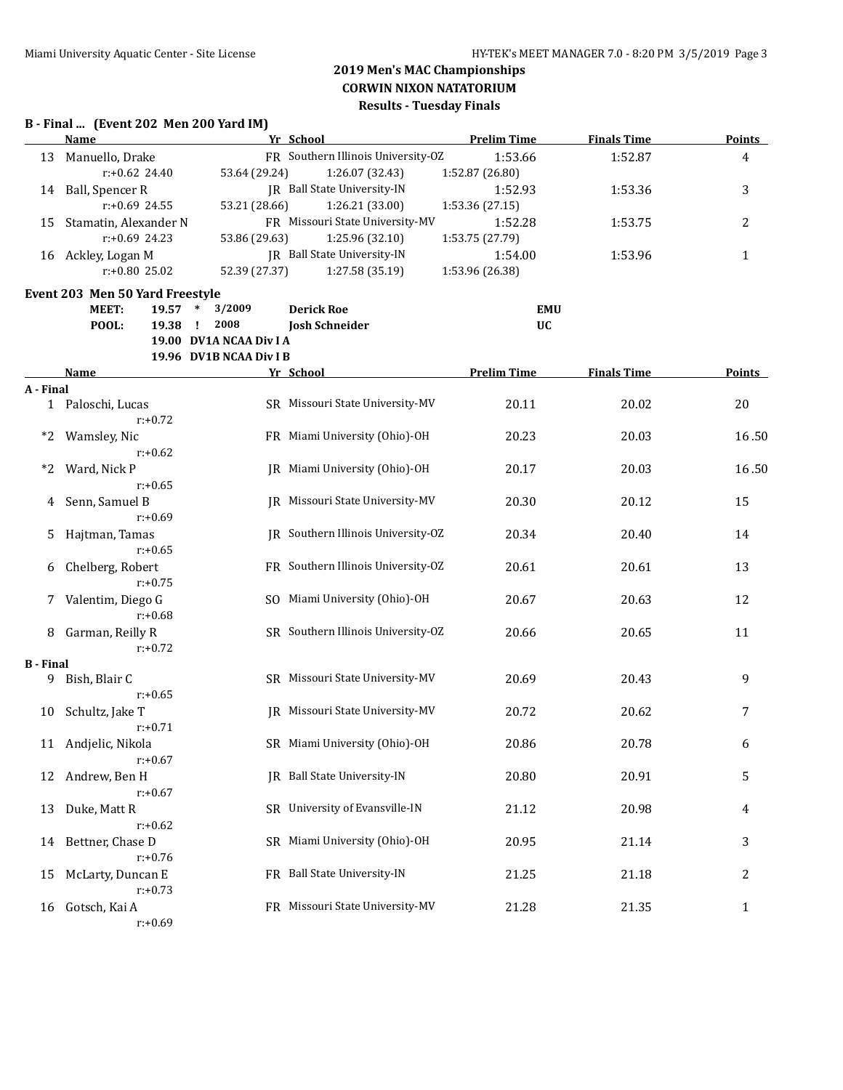## **B - Final ... (Event 202 Men 200 Yard IM)**

|                  | <b>Name</b>                     |                         | Yr School                              | <b>Prelim Time</b> | <b>Finals Time</b> | <b>Points</b>  |
|------------------|---------------------------------|-------------------------|----------------------------------------|--------------------|--------------------|----------------|
|                  | 13 Manuello, Drake              |                         | FR Southern Illinois University-OZ     | 1:53.66            | 1:52.87            | $\overline{4}$ |
|                  | $r: +0.62$ 24.40                | 53.64 (29.24)           | 1:26.07 (32.43)                        | 1:52.87 (26.80)    |                    |                |
|                  | 14 Ball, Spencer R              |                         | JR Ball State University-IN            | 1:52.93            | 1:53.36            | 3              |
|                  | r:+0.69 24.55                   | 53.21 (28.66)           | 1:26.21 (33.00)                        | 1:53.36 (27.15)    |                    |                |
| 15               | Stamatin, Alexander N           |                         | FR Missouri State University-MV        | 1:52.28            | 1:53.75            | $\overline{2}$ |
|                  | r:+0.69 24.23                   | 53.86 (29.63)           | 1:25.96 (32.10)                        | 1:53.75 (27.79)    |                    |                |
|                  | 16 Ackley, Logan M              |                         | JR Ball State University-IN            | 1:54.00            | 1:53.96            | $\mathbf{1}$   |
|                  | r:+0.80 25.02                   | 52.39 (27.37)           | 1:27.58 (35.19)                        | 1:53.96 (26.38)    |                    |                |
|                  | Event 203 Men 50 Yard Freestyle |                         |                                        |                    |                    |                |
|                  | <b>MEET:</b><br>$19.57$ *       | 3/2009                  | <b>Derick Roe</b>                      | <b>EMU</b>         |                    |                |
|                  | POOL:<br>19.38                  | 2008<br>÷.              | <b>Josh Schneider</b>                  | <b>UC</b>          |                    |                |
|                  |                                 | 19.00 DV1A NCAA Div I A |                                        |                    |                    |                |
|                  |                                 | 19.96 DV1B NCAA Div I B |                                        |                    |                    |                |
|                  | <u>Name</u>                     |                         | Yr School                              | <b>Prelim Time</b> | <b>Finals Time</b> | <b>Points</b>  |
| A - Final        |                                 |                         |                                        |                    |                    |                |
|                  | 1 Paloschi, Lucas               |                         | SR Missouri State University-MV        | 20.11              | 20.02              | 20             |
|                  | $r: +0.72$                      |                         |                                        |                    |                    |                |
| $*2$             | Wamsley, Nic                    |                         | FR Miami University (Ohio)-OH          | 20.23              | 20.03              | 16.50          |
|                  | $r: +0.62$                      |                         |                                        |                    |                    |                |
| $*2$             | Ward, Nick P                    |                         | JR Miami University (Ohio)-OH          | 20.17              | 20.03              | 16.50          |
|                  | $r: +0.65$                      |                         |                                        |                    |                    |                |
| 4                | Senn, Samuel B                  |                         | JR Missouri State University-MV        | 20.30              | 20.12              | 15             |
|                  | $r: +0.69$                      |                         |                                        |                    |                    |                |
| 5                | Hajtman, Tamas                  |                         | JR Southern Illinois University-OZ     | 20.34              | 20.40              | 14             |
|                  | $r: +0.65$                      |                         |                                        |                    |                    |                |
| 6                | Chelberg, Robert                |                         | FR Southern Illinois University-OZ     | 20.61              | 20.61              | 13             |
|                  | $r: +0.75$                      |                         |                                        |                    |                    |                |
| 7                | Valentim, Diego G               |                         | SO Miami University (Ohio)-OH          | 20.67              | 20.63              | 12             |
|                  | $r: +0.68$                      |                         |                                        |                    |                    |                |
| 8                | Garman, Reilly R                |                         | SR Southern Illinois University-OZ     | 20.66              | 20.65              | 11             |
|                  | $r: +0.72$                      |                         |                                        |                    |                    |                |
| <b>B</b> - Final |                                 |                         |                                        |                    |                    |                |
| 9                | Bish, Blair C<br>$r: +0.65$     |                         | SR Missouri State University-MV        | 20.69              | 20.43              | 9              |
| 10               | Schultz, Jake T                 |                         | <b>IR</b> Missouri State University-MV | 20.72              | 20.62              | 7              |
|                  | $r: +0.71$                      |                         |                                        |                    |                    |                |
|                  | 11 Andjelic, Nikola             |                         | SR Miami University (Ohio)-OH          | 20.86              | 20.78              | 6              |
|                  | $r: +0.67$                      |                         |                                        |                    |                    |                |
| 12               | Andrew, Ben H                   |                         | JR Ball State University-IN            | 20.80              | 20.91              | 5              |
|                  | $r: +0.67$                      |                         |                                        |                    |                    |                |
| 13               | Duke, Matt R                    |                         | SR University of Evansville-IN         | 21.12              | 20.98              | 4              |
|                  | $r: +0.62$                      |                         |                                        |                    |                    |                |
| 14               | Bettner, Chase D                |                         | SR Miami University (Ohio)-OH          | 20.95              | 21.14              | 3              |
|                  | $r: +0.76$                      |                         |                                        |                    |                    |                |
| 15               | McLarty, Duncan E               |                         | FR Ball State University-IN            | 21.25              | 21.18              | $\overline{c}$ |
|                  | $r: +0.73$                      |                         |                                        |                    |                    |                |
| 16               | Gotsch, Kai A                   |                         | FR Missouri State University-MV        | 21.28              | 21.35              | $\mathbf{1}$   |
|                  |                                 |                         |                                        |                    |                    |                |

r:+0.69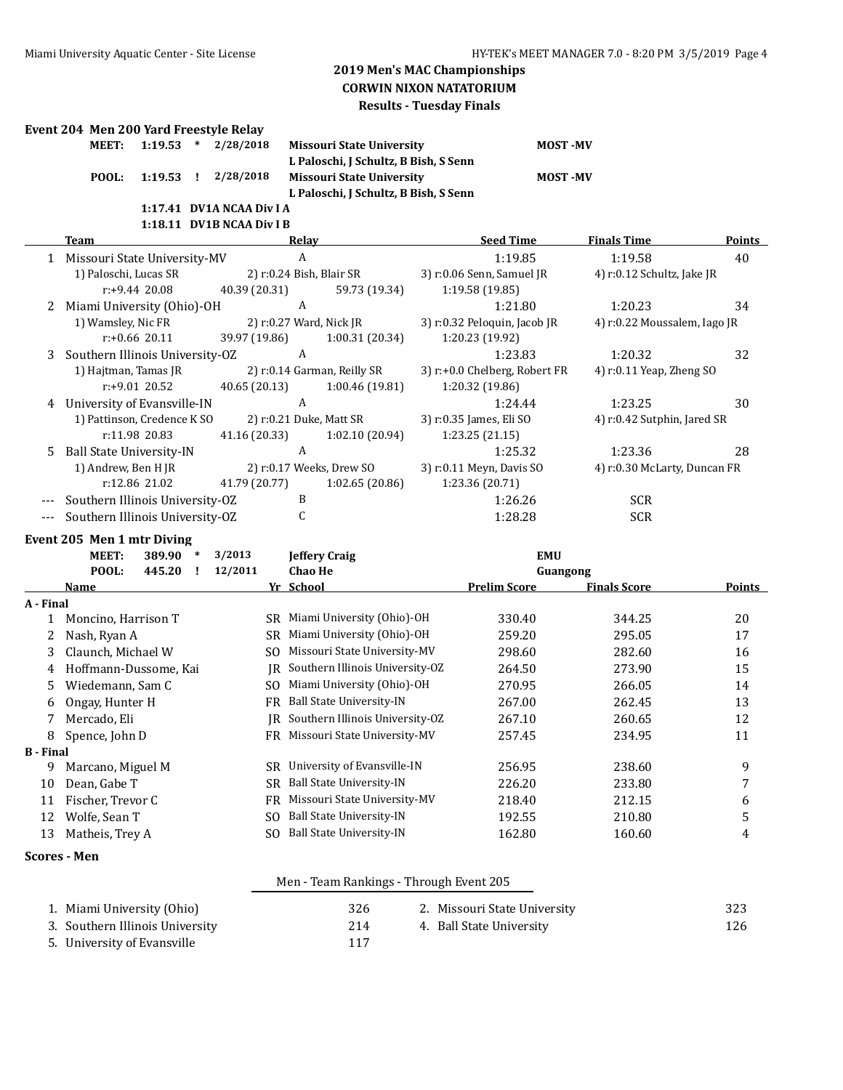**L Paloschi, J Schultz, B Bish, S Senn**

**L Paloschi, J Schultz, B Bish, S Senn**

**Missouri State University 12.533 MOST -MV** 

**POOLS POOLS 2.19.53 2.19.53 2.19.53 2.19.53 2.19.53 2.29.53 2.29.53 2.29.53 2.29.53 2.29.53 2.29.53 2.29.53 2.29.53 2.29.53 2.29.53 2.29.53 2.29.53 2.20.53 2.20.53 2.20.53 2.** 

## **Event 204 Men 200 Yard Freestyle Relay**

|                 | 1:17.41 DV1A NCAA Div I A |  |
|-----------------|---------------------------|--|
|                 | POOL: 1:19.53 ! 2/28/2018 |  |
| MEET: 1:19.53 * | 2/28/2018                 |  |

#### **1:18.11 DV1B NCAA Div I B**

|   | Team                            | Relav                    |                             | <b>Seed Time</b>              | <b>Finals Time</b>           | <b>Points</b> |
|---|---------------------------------|--------------------------|-----------------------------|-------------------------------|------------------------------|---------------|
|   | 1 Missouri State University-MV  | A                        |                             | 1:19.85                       | 1:19.58                      | 40            |
|   | 1) Paloschi, Lucas SR           | 2) r:0.24 Bish, Blair SR |                             | 3) r:0.06 Senn, Samuel JR     | 4) r:0.12 Schultz, Jake JR   |               |
|   | $r: +9.44$ 20.08                | 40.39 (20.31)            | 59.73 (19.34)               | 1:19.58(19.85)                |                              |               |
| 2 | Miami University (Ohio)-OH      | A                        |                             | 1:21.80                       | 1:20.23                      | 34            |
|   | 1) Wamsley, Nic FR              | 2) r:0.27 Ward, Nick JR  |                             | 3) r:0.32 Peloquin, Jacob JR  | 4) r:0.22 Moussalem, Iago JR |               |
|   | $r: +0.66$ 20.11                | 39.97 (19.86)            | 1:00.31(20.34)              | 1:20.23 (19.92)               |                              |               |
| 3 | Southern Illinois University-OZ | A                        |                             | 1:23.83                       | 1:20.32                      | 32            |
|   | 1) Hajtman, Tamas JR            |                          | 2) r:0.14 Garman, Reilly SR | 3) r:+0.0 Chelberg, Robert FR | 4) $r:0.11$ Yeap, Zheng SO   |               |
|   | $r: +9.01$ 20.52                | 40.65(20.13)             | 1:00.46(19.81)              | 1:20.32 (19.86)               |                              |               |
| 4 | University of Evansville-IN     | A                        |                             | 1:24.44                       | 1:23.25                      | 30            |
|   | 1) Pattinson, Credence K SO     | 2) r:0.21 Duke, Matt SR  |                             | 3) r:0.35 James, Eli SO       | 4) r:0.42 Sutphin, Jared SR  |               |
|   | r:11.98 20.83                   | 41.16 (20.33)            | 1:02.10(20.94)              | 1:23.25(21.15)                |                              |               |
|   | 5 Ball State University-IN      | A                        |                             | 1:25.32                       | 1:23.36                      | 28            |
|   | 1) Andrew, Ben HJR              |                          | 2) r:0.17 Weeks, Drew SO    | 3) r:0.11 Meyn, Davis SO      | 4) r:0.30 McLarty, Duncan FR |               |
|   | r:12.86 21.02                   | 41.79 (20.77)            | 1:02.65(20.86)              | 1:23.36 (20.71)               |                              |               |
|   | Southern Illinois University-OZ | B                        |                             | 1:26.26                       | <b>SCR</b>                   |               |
|   | Southern Illinois University-OZ |                          |                             | 1:28.28                       | <b>SCR</b>                   |               |

## **Event 205 Men 1 mtr Diving**

|                  | MEET:<br>389.90<br>∗  | 3/2013  | <b>Jeffery Craig</b>            | <b>EMU</b>   |                     |        |
|------------------|-----------------------|---------|---------------------------------|--------------|---------------------|--------|
|                  | POOL:<br>445.20       | 12/2011 | <b>Chao He</b>                  |              | Guangong            |        |
|                  | <b>Name</b>           |         | Yr School                       | Prelim Score | <b>Finals Score</b> | Points |
| A - Final        |                       |         |                                 |              |                     |        |
|                  | Moncino, Harrison T   | SR.     | Miami University (Ohio)-OH      | 330.40       | 344.25              | 20     |
| 2                | Nash, Ryan A          | SR      | Miami University (Ohio)-OH      | 259.20       | 295.05              | 17     |
| 3                | Claunch, Michael W    | SO.     | Missouri State University-MV    | 298.60       | 282.60              | 16     |
| 4                | Hoffmann-Dussome, Kai | IR      | Southern Illinois University-OZ | 264.50       | 273.90              | 15     |
| 5                | Wiedemann, Sam C      | SO.     | Miami University (Ohio)-OH      | 270.95       | 266.05              | 14     |
| 6                | Ongay, Hunter H       | FR      | Ball State University-IN        | 267.00       | 262.45              | 13     |
|                  | Mercado, Eli          | IR      | Southern Illinois University-OZ | 267.10       | 260.65              | 12     |
| 8                | Spence, John D        | FR      | Missouri State University-MV    | 257.45       | 234.95              | 11     |
| <b>B</b> - Final |                       |         |                                 |              |                     |        |
| 9                | Marcano, Miguel M     | SR.     | University of Evansville-IN     | 256.95       | 238.60              | 9      |
| 10               | Dean, Gabe T          | SR      | <b>Ball State University-IN</b> | 226.20       | 233.80              | 7      |
| 11               | Fischer, Trevor C     | FR      | Missouri State University-MV    | 218.40       | 212.15              | 6      |
| 12               | Wolfe, Sean T         | SO.     | <b>Ball State University-IN</b> | 192.55       | 210.80              | 5      |
| 13               | Matheis, Trey A       | SO.     | <b>Ball State University-IN</b> | 162.80       | 160.60              | 4      |
|                  |                       |         |                                 |              |                     |        |

## **Scores - Men**

## Men - Team Rankings - Through Event 205

| 1. Miami University (Ohio)      | 326 | 2. Missouri State University | 323 |
|---------------------------------|-----|------------------------------|-----|
| 3. Southern Illinois University | 214 | 4. Ball State University     | 126 |
| 5. University of Evansville     |     |                              |     |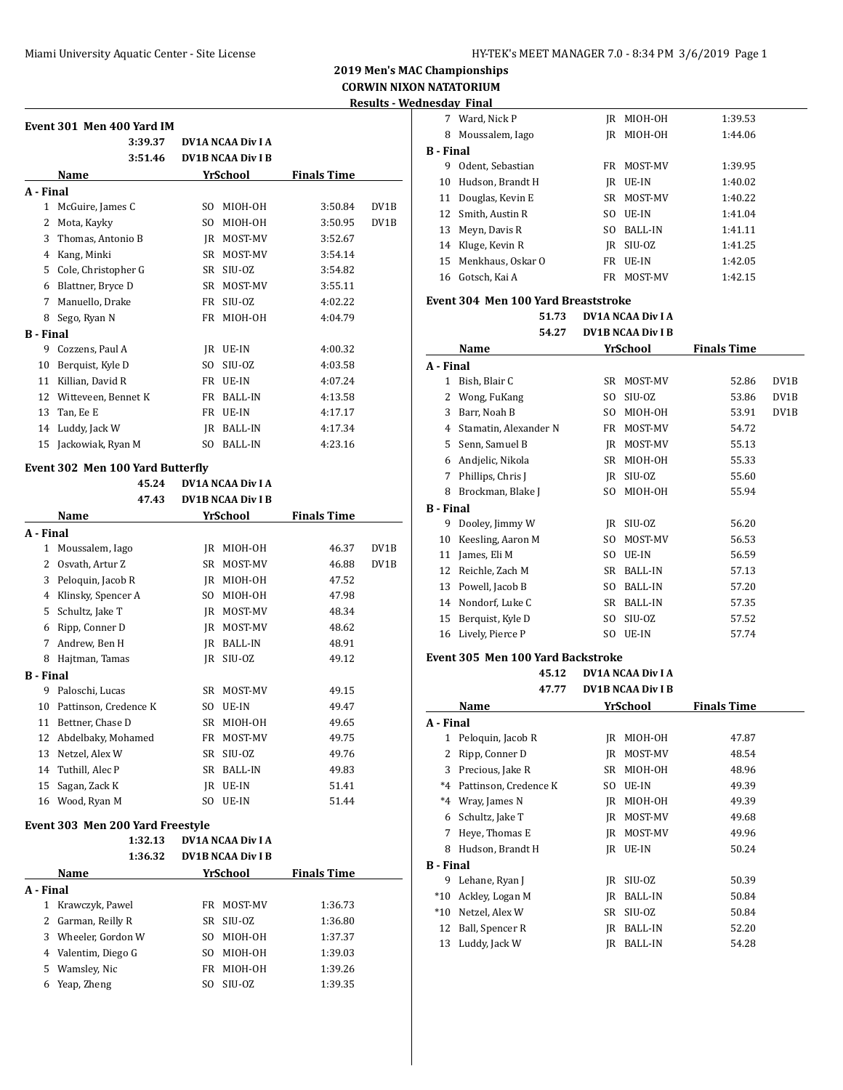# **2019 Men's MAC Championships CORWIN NIXON NATATORIUM**

**Results - Wednesday Final**

| Event 301  Men 400 Yard IM |  |  |  |
|----------------------------|--|--|--|
|                            |  |  |  |

|                  | 3:39.37             |     | <b>DV1A NCAA Div I A</b> |                    |                   |
|------------------|---------------------|-----|--------------------------|--------------------|-------------------|
|                  | 3:51.46             |     | <b>DV1B NCAA Div I B</b> |                    |                   |
|                  | Name                |     | YrSchool                 | <b>Finals Time</b> |                   |
| A - Final        |                     |     |                          |                    |                   |
| 1                | McGuire, James C    | SO. | MIOH-OH                  | 3:50.84            | DV <sub>1</sub> B |
| 2                | Mota, Kayky         | SO. | MIOH-OH                  | 3:50.95            | DV1B              |
| 3                | Thomas, Antonio B   | IR  | MOST-MV                  | 3:52.67            |                   |
| 4                | Kang, Minki         | SR  | MOST-MV                  | 3:54.14            |                   |
| 5                | Cole, Christopher G | SR  | SIU-OZ                   | 3:54.82            |                   |
| 6                | Blattner, Bryce D   | SR  | MOST-MV                  | 3:55.11            |                   |
| 7                | Manuello, Drake     | FR  | SIU-OZ                   | 4:02.22            |                   |
| 8                | Sego, Ryan N        | FR  | MIOH-OH                  | 4:04.79            |                   |
| <b>B</b> - Final |                     |     |                          |                    |                   |
| 9                | Cozzens, Paul A     | IR  | UE-IN                    | 4:00.32            |                   |
| 10               | Berquist, Kyle D    | SO. | SIU-OZ                   | 4:03.58            |                   |
| 11               | Killian, David R    | FR  | UE-IN                    | 4:07.24            |                   |
| 12               | Witteveen, Bennet K | FR  | <b>BALL-IN</b>           | 4:13.58            |                   |
| 13               | Tan, Ee E           | FR  | UE-IN                    | 4:17.17            |                   |
| 14               | Luddy, Jack W       | IR  | BALL-IN                  | 4:17.34            |                   |
| 15               | Jackowiak, Ryan M   | SO. | <b>BALL-IN</b>           | 4:23.16            |                   |

## **Event 302 Men 100 Yard Butterfly**

|                  | 45.24                 | <b>DV1A NCAA Div I A</b> |                          |                    |      |
|------------------|-----------------------|--------------------------|--------------------------|--------------------|------|
|                  | 47.43                 |                          | <b>DV1B NCAA Div I B</b> |                    |      |
|                  | Name                  |                          | YrSchool                 | <b>Finals Time</b> |      |
| A - Final        |                       |                          |                          |                    |      |
| 1                | Moussalem, Iago       | IR                       | MIOH-OH                  | 46.37              | DV1B |
| 2                | Osvath, Artur Z       | SR                       | MOST-MV                  | 46.88              | DV1B |
| 3                | Peloquin, Jacob R     | IR                       | MIOH-OH                  | 47.52              |      |
| 4                | Klinsky, Spencer A    | SO.                      | MIOH-OH                  | 47.98              |      |
| 5                | Schultz, Jake T       | IR                       | MOST-MV                  | 48.34              |      |
| 6                | Ripp, Conner D        | IR                       | MOST-MV                  | 48.62              |      |
| 7                | Andrew, Ben H         | JR                       | <b>BALL-IN</b>           | 48.91              |      |
| 8                | Hajtman, Tamas        | IR                       | SIU-OZ                   | 49.12              |      |
| <b>B</b> - Final |                       |                          |                          |                    |      |
| 9                | Paloschi, Lucas       | SR                       | MOST-MV                  | 49.15              |      |
| 10               | Pattinson, Credence K | SO.                      | UE-IN                    | 49.47              |      |
| 11               | Bettner, Chase D      | <b>SR</b>                | MIOH-OH                  | 49.65              |      |
| 12               | Abdelbaky, Mohamed    | FR                       | MOST-MV                  | 49.75              |      |
| 13               | Netzel, Alex W        | <b>SR</b>                | SIU-OZ                   | 49.76              |      |
| 14               | Tuthill, Alec P       | SR                       | <b>BALL-IN</b>           | 49.83              |      |
| 15               | Sagan, Zack K         | JR                       | UE-IN                    | 51.41              |      |
| 16               | Wood, Ryan M          | SO.                      | UE-IN                    | 51.44              |      |
|                  |                       |                          |                          |                    |      |

#### **Event 303 Men 200 Yard Freestyle**

|           | 1:32.13           |     | DV1A NCAA Div I A        |                    |
|-----------|-------------------|-----|--------------------------|--------------------|
|           | 1:36.32           |     | <b>DV1B NCAA Div I B</b> |                    |
|           | Name              |     | YrSchool                 | <b>Finals Time</b> |
| A - Final |                   |     |                          |                    |
| 1         | Krawczyk, Pawel   | FR  | MOST-MV                  | 1:36.73            |
| 2         | Garman, Reilly R  | SR. | SIU-OZ                   | 1:36.80            |
| 3         | Wheeler, Gordon W | SΟ  | MIOH-OH                  | 1:37.37            |
| 4         | Valentim, Diego G | SΟ  | MIOH-OH                  | 1:39.03            |
| 5         | Wamsley, Nic      | FR. | MIOH-OH                  | 1:39.26            |
| 6         | Yeap, Zheng       | SO. | SIU-OZ                   | 1:39.35            |

| 7                | Ward, Nick P                               | JR. | MIOH-OH                  | 1:39.53            |                   |  |  |  |
|------------------|--------------------------------------------|-----|--------------------------|--------------------|-------------------|--|--|--|
|                  | 8 Moussalem, Iago                          | JR. | MIOH-OH                  | 1:44.06            |                   |  |  |  |
| <b>B</b> - Final |                                            |     |                          |                    |                   |  |  |  |
|                  | 9 Odent, Sebastian                         |     | FR MOST-MV               | 1:39.95            |                   |  |  |  |
|                  | 10 Hudson, Brandt H                        |     | IR UE-IN                 | 1:40.02            |                   |  |  |  |
|                  | 11 Douglas, Kevin E                        | SR  | MOST-MV                  | 1:40.22            |                   |  |  |  |
|                  | 12 Smith, Austin R                         |     | SO UE-IN                 | 1:41.04            |                   |  |  |  |
|                  | 13 Meyn, Davis R                           |     | SO BALL-IN               | 1:41.11            |                   |  |  |  |
|                  | 14 Kluge, Kevin R                          |     | JR SIU-OZ                | 1:41.25            |                   |  |  |  |
|                  | 15 Menkhaus, Oskar O                       |     | FR UE-IN                 | 1:42.05            |                   |  |  |  |
|                  | 16 Gotsch, Kai A                           |     | FR MOST-MV               | 1:42.15            |                   |  |  |  |
|                  |                                            |     |                          |                    |                   |  |  |  |
|                  | <b>Event 304 Men 100 Yard Breaststroke</b> |     |                          |                    |                   |  |  |  |
|                  | 51.73                                      |     | DV1A NCAA Div I A        |                    |                   |  |  |  |
|                  | 54.27                                      |     | <b>DV1B NCAA Div I B</b> |                    |                   |  |  |  |
|                  | Name                                       |     | YrSchool                 | <b>Finals Time</b> |                   |  |  |  |
| A - Final        |                                            |     |                          |                    |                   |  |  |  |
|                  | 1 Bish, Blair C                            |     | SR MOST-MV               | 52.86              | DV1B              |  |  |  |
|                  | 2 Wong, FuKang                             | SO. | SIU-OZ                   | 53.86              | DV1B              |  |  |  |
|                  | 3 Barr, Noah B                             | SO  | MIOH-OH                  | 53.91              | DV <sub>1</sub> B |  |  |  |
|                  | 4 Stamatin, Alexander N                    |     | FR MOST-MV               | 54.72              |                   |  |  |  |
|                  | 5 Senn, Samuel B                           |     | JR MOST-MV               | 55.13              |                   |  |  |  |
|                  | 6 Andjelic, Nikola                         | SR  | MIOH-OH                  | 55.33              |                   |  |  |  |
|                  | 7 Phillips, Chris J                        | JR. | SIU-OZ                   | 55.60              |                   |  |  |  |
|                  | 8 Brockman, Blake J                        | SO. | MIOH-OH                  | 55.94              |                   |  |  |  |
| <b>B</b> - Final |                                            |     |                          |                    |                   |  |  |  |
| 9                | Dooley, Jimmy W                            |     | JR SIU-OZ                | 56.20              |                   |  |  |  |
|                  | 10 Keesling, Aaron M                       | SO  | MOST-MV                  | 56.53              |                   |  |  |  |
|                  | 11 James, Eli M                            |     | SO UE-IN                 | 56.59              |                   |  |  |  |
|                  | 12 Reichle, Zach M                         |     | SR BALL-IN               | 57.13              |                   |  |  |  |
|                  | 13 Powell, Jacob B                         |     | SO BALL-IN               | 57.20              |                   |  |  |  |
|                  | 14 Nondorf, Luke C                         |     | SR BALL-IN               | 57.35              |                   |  |  |  |
|                  | 15 Berquist, Kyle D                        |     | SO SIU-OZ                | 57.52              |                   |  |  |  |
|                  | 16 Lively, Pierce P                        |     | SO UE-IN                 | 57.74              |                   |  |  |  |
|                  |                                            |     |                          |                    |                   |  |  |  |
|                  | Event 305 Men 100 Yard Backstroke          |     |                          |                    |                   |  |  |  |
|                  | 45.12                                      |     | <b>DV1A NCAA Div I A</b> |                    |                   |  |  |  |
|                  | 47.77                                      |     | <b>DV1B NCAA Div I B</b> |                    |                   |  |  |  |
|                  | Name                                       |     | YrSchool                 | <b>Finals Time</b> |                   |  |  |  |
| A - Final        |                                            |     |                          |                    |                   |  |  |  |
| 1                | Peloquin, Jacob R                          | JR  | MIOH-OH                  | 47.87              |                   |  |  |  |
| 2                | Ripp, Conner D                             | JR  | MOST-MV                  | 48.54              |                   |  |  |  |
| 3                | Precious, Jake R                           | SR  | MIOH-OH                  | 48.96              |                   |  |  |  |
| $*4$             | Pattinson, Credence K                      | SO  | UE-IN                    | 49.39              |                   |  |  |  |
| $*4$             | Wray, James N                              | JR  | MIOH-OH                  | 49.39              |                   |  |  |  |
| 6                | Schultz, Jake T                            | JR  | MOST-MV                  | 49.68              |                   |  |  |  |
| 7                | Heye, Thomas E                             | JR  | MOST-MV                  | 49.96              |                   |  |  |  |
| 8                | Hudson, Brandt H                           | JR  | UE-IN                    | 50.24              |                   |  |  |  |
| <b>B</b> - Final |                                            |     |                          |                    |                   |  |  |  |
| 9                | Lehane, Ryan J                             | JR  | SIU-OZ                   | 50.39              |                   |  |  |  |
| $*10$            | Ackley, Logan M                            | JR  | <b>BALL-IN</b>           | 50.84              |                   |  |  |  |
| $*10$            | Netzel, Alex W                             | SR  | SIU-OZ                   | 50.84              |                   |  |  |  |
| 12               | Ball, Spencer R                            | JR  | <b>BALL-IN</b>           | 52.20              |                   |  |  |  |
| 13               | Luddy, Jack W                              | JR  | BALL-IN                  | 54.28              |                   |  |  |  |
|                  |                                            |     |                          |                    |                   |  |  |  |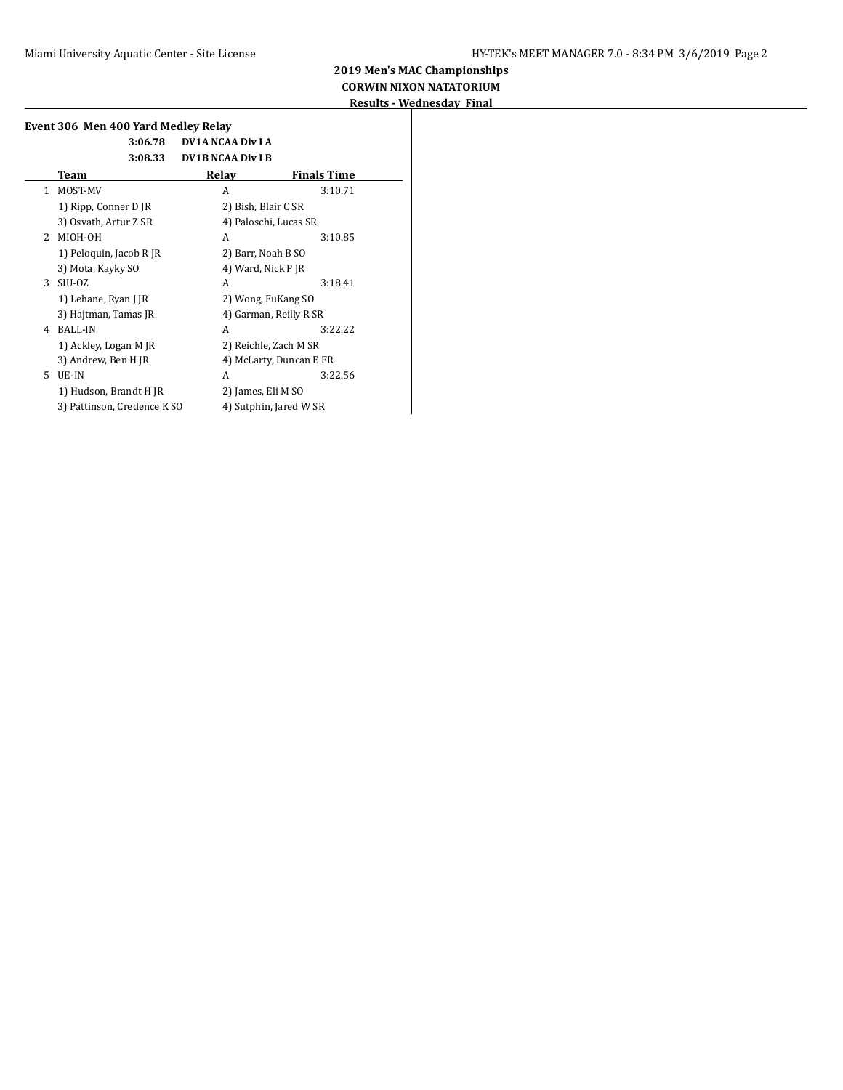|               | 3:06.78                     | <b>DV1A NCAA Div I A</b> |                    |
|---------------|-----------------------------|--------------------------|--------------------|
|               | 3:08.33                     | <b>DV1B NCAA Div I B</b> |                    |
|               | Team                        | Relay                    | <b>Finals Time</b> |
| $\mathbf{1}$  | MOST-MV                     | A                        | 3:10.71            |
|               | 1) Ripp, Conner D JR        | 2) Bish, Blair C SR      |                    |
|               | 3) Osvath, Artur Z SR       | 4) Paloschi, Lucas SR    |                    |
| $\mathcal{L}$ | MIOH-OH                     | A                        | 3:10.85            |
|               | 1) Peloquin, Jacob R JR     | 2) Barr, Noah B SO       |                    |
|               | 3) Mota, Kayky SO           | 4) Ward, Nick P JR       |                    |
| 3             | SIU-OZ                      | A                        | 3:18.41            |
|               | 1) Lehane, Ryan J JR        | 2) Wong, FuKang SO       |                    |
|               | 3) Hajtman, Tamas JR        | 4) Garman, Reilly R SR   |                    |
| 4             | BALL-IN                     | A                        | 3:22.22            |
|               | 1) Ackley, Logan M JR       | 2) Reichle, Zach M SR    |                    |
|               | 3) Andrew, Ben H JR         | 4) McLarty, Duncan E FR  |                    |
| 5.            | UE-IN                       | A                        | 3:22.56            |
|               | 1) Hudson, Brandt H JR      | 2) James, Eli M SO       |                    |
|               | 3) Pattinson, Credence K SO | 4) Sutphin, Jared W SR   |                    |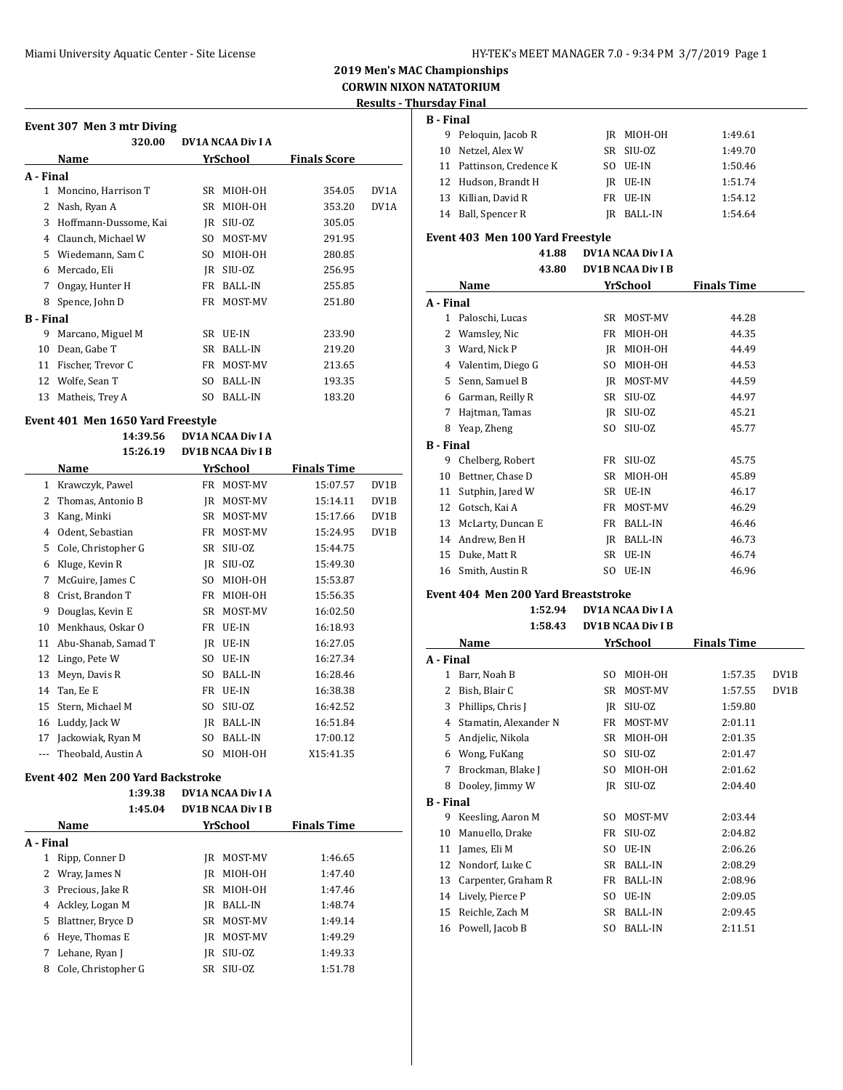# **2019 Men's MAC Championships CORWIN NIXON NATATORIUM**

**Results - Thursday Final**

## **Event 307 Men 3 mtr Diving**

|           | 320.00                |     | <b>DV1A NCAA Div I A</b> |                     |      |
|-----------|-----------------------|-----|--------------------------|---------------------|------|
|           | Name                  |     | YrSchool                 | <b>Finals Score</b> |      |
| A - Final |                       |     |                          |                     |      |
| 1         | Moncino, Harrison T   | SR  | MIOH-OH                  | 354.05              | DV1A |
| 2         | Nash, Ryan A          | SR  | MIOH-OH                  | 353.20              | DV1A |
| 3         | Hoffmann-Dussome, Kai | IR  | SIU-OZ                   | 305.05              |      |
| 4         | Claunch, Michael W    | SO. | MOST-MV                  | 291.95              |      |
| 5         | Wiedemann, Sam C      | SO. | MIOH-OH                  | 280.85              |      |
| 6         | Mercado, Eli          | IR  | SIU-OZ                   | 256.95              |      |
| 7         | Ongay, Hunter H       | FR  | <b>BALL-IN</b>           | 255.85              |      |
| 8         | Spence, John D        | FR  | MOST-MV                  | 251.80              |      |
| B - Final |                       |     |                          |                     |      |
| 9         | Marcano, Miguel M     | SR  | UE-IN                    | 233.90              |      |
| 10        | Dean, Gabe T          | SR  | <b>BALL-IN</b>           | 219.20              |      |
| 11        | Fischer, Trevor C     | FR  | MOST-MV                  | 213.65              |      |
| 12        | Wolfe, Sean T         | SO. | <b>BALL-IN</b>           | 193.35              |      |
| 13        | Matheis, Trey A       | SO. | <b>BALL-IN</b>           | 183.20              |      |

#### **Event 401 Men 1650 Yard Freestyle**

|          | 14:39.56            | <b>DV1A NCAA Div I A</b> |                          |                    |      |
|----------|---------------------|--------------------------|--------------------------|--------------------|------|
|          | 15:26.19            |                          | <b>DV1B NCAA Div I B</b> |                    |      |
|          | Name                |                          | YrSchool                 | <b>Finals Time</b> |      |
| 1        | Krawczyk, Pawel     | FR                       | MOST-MV                  | 15:07.57           | DV1B |
| 2        | Thomas, Antonio B   | IR                       | MOST-MV                  | 15:14.11           | DV1B |
| 3        | Kang, Minki         | <b>SR</b>                | MOST-MV                  | 15:17.66           | DV1B |
| 4        | Odent, Sebastian    | FR                       | MOST-MV                  | 15:24.95           | DV1B |
| 5        | Cole, Christopher G | SR                       | SIU-OZ                   | 15:44.75           |      |
| 6        | Kluge, Kevin R      | JR                       | SIU-OZ                   | 15:49.30           |      |
| 7        | McGuire, James C    | SO.                      | MIOH-OH                  | 15:53.87           |      |
| 8        | Crist, Brandon T    | FR                       | MIOH-OH                  | 15:56.35           |      |
| 9        | Douglas, Kevin E    | SR                       | MOST-MV                  | 16:02.50           |      |
| 10       | Menkhaus, Oskar O   | FR                       | UE-IN                    | 16:18.93           |      |
| 11       | Abu-Shanab, Samad T | IR                       | UE-IN                    | 16:27.05           |      |
| 12       | Lingo, Pete W       | SO.                      | UE-IN                    | 16:27.34           |      |
| 13       | Meyn, Davis R       | SO.                      | <b>BALL-IN</b>           | 16:28.46           |      |
| 14       | Tan, Ee E           | FR                       | UE-IN                    | 16:38.38           |      |
| 15       | Stern, Michael M    | SO.                      | SIU-OZ                   | 16:42.52           |      |
| 16       | Luddy, Jack W       | JR                       | <b>BALL-IN</b>           | 16:51.84           |      |
| 17       | Jackowiak, Ryan M   | SO.                      | <b>BALL-IN</b>           | 17:00.12           |      |
| $\cdots$ | Theobald, Austin A  | SO.                      | MIOH-OH                  | X15:41.35          |      |

#### **Event 402 Men 200 Yard Backstroke**

|           |                     | 1:39.38 | <b>DV1A NCAA Div I A</b> |                          |                    |  |
|-----------|---------------------|---------|--------------------------|--------------------------|--------------------|--|
|           |                     | 1:45.04 |                          | <b>DV1B NCAA Div I B</b> |                    |  |
|           | Name                |         |                          | YrSchool                 | <b>Finals Time</b> |  |
| A - Final |                     |         |                          |                          |                    |  |
| 1         | Ripp, Conner D      |         | IR                       | MOST-MV                  | 1:46.65            |  |
|           | Wray, James N       |         | IR                       | MIOH-OH                  | 1:47.40            |  |
| 3         | Precious, Jake R    |         | SR.                      | MIOH-OH                  | 1:47.46            |  |
| 4         | Ackley, Logan M     |         | IR                       | <b>BALL-IN</b>           | 1:48.74            |  |
| 5.        | Blattner, Bryce D   |         | SR.                      | MOST-MV                  | 1:49.14            |  |
| 6         | Heye, Thomas E      |         | IR                       | MOST-MV                  | 1:49.29            |  |
|           | Lehane, Ryan J      |         | IR                       | SIU-OZ                   | 1:49.33            |  |
| 8         | Cole, Christopher G |         | SR                       | SIU-OZ                   | 1:51.78            |  |
|           |                     |         |                          |                          |                    |  |

| <b>B</b> - Final |                          |     |                |         |
|------------------|--------------------------|-----|----------------|---------|
|                  | 9 Peloquin, Jacob R      |     | IR MIOH-OH     | 1:49.61 |
|                  | 10 Netzel, Alex W        |     | SR SIU-0Z      | 1:49.70 |
|                  | 11 Pattinson, Credence K | SO. | UE-IN          | 1:50.46 |
|                  | 12 Hudson, Brandt H      |     | IR UE-IN       | 1:51.74 |
|                  | 13 Killian, David R      |     | FR UE-IN       | 1:54.12 |
|                  | 14 Ball, Spencer R       | IR  | <b>BALL-IN</b> | 1:54.64 |

## **Event 403 Men 100 Yard Freestyle**

| 41.88 | DV1A NCAA Div I A        |
|-------|--------------------------|
| 43.80 | <b>DV1B NCAA Div I B</b> |

|                  | Name              |     | YrSchool       | <b>Finals Time</b> |  |
|------------------|-------------------|-----|----------------|--------------------|--|
| A - Final        |                   |     |                |                    |  |
| 1                | Paloschi, Lucas   | SR  | MOST-MV        | 44.28              |  |
| 2                | Wamsley, Nic      | FR  | MIOH-OH        | 44.35              |  |
| 3                | Ward, Nick P      | IR  | MIOH-OH        | 44.49              |  |
| 4                | Valentim, Diego G | SO. | MIOH-OH        | 44.53              |  |
| 5                | Senn, Samuel B    | IR  | MOST-MV        | 44.59              |  |
| 6                | Garman, Reilly R  | SR  | SIU-OZ         | 44.97              |  |
| 7                | Hajtman, Tamas    | IR  | SIU-OZ         | 45.21              |  |
| 8                | Yeap, Zheng       | SO. | SIU-OZ         | 45.77              |  |
| <b>B</b> - Final |                   |     |                |                    |  |
| 9                | Chelberg, Robert  | FR  | SIU-OZ         | 45.75              |  |
| 10               | Bettner, Chase D  | SR  | MIOH-OH        | 45.89              |  |
| 11               | Sutphin, Jared W  | SR  | UE-IN          | 46.17              |  |
| 12               | Gotsch, Kai A     | FR  | MOST-MV        | 46.29              |  |
| 13               | McLarty, Duncan E | FR  | <b>BALL-IN</b> | 46.46              |  |
| 14               | Andrew, Ben H     | IR  | <b>BALL-IN</b> | 46.73              |  |
| 15               | Duke, Matt R      | SR  | UE-IN          | 46.74              |  |
| 16               | Smith, Austin R   | SO. | UE-IN          | 46.96              |  |

#### **Event 404 Men 200 Yard Breaststroke**

|                  | 1:52.94<br>1:58.43    | <b>DV1A NCAA Div I A</b><br><b>DV1B NCAA Div I B</b> |                |                    |                   |
|------------------|-----------------------|------------------------------------------------------|----------------|--------------------|-------------------|
|                  | Name                  |                                                      | YrSchool       | <b>Finals Time</b> |                   |
| A - Final        |                       |                                                      |                |                    |                   |
| 1                | Barr, Noah B          | SO.                                                  | MIOH-OH        | 1:57.35            | DV <sub>1</sub> B |
| 2                | Bish, Blair C         | SR                                                   | MOST-MV        | 1:57.55            | DV1B              |
| 3                | Phillips, Chris J     | IR                                                   | SIU-OZ         | 1:59.80            |                   |
| 4                | Stamatin, Alexander N | FR                                                   | MOST-MV        | 2:01.11            |                   |
| 5                | Andjelic, Nikola      | SR.                                                  | MIOH-OH        | 2:01.35            |                   |
| 6                | Wong, FuKang          | SO.                                                  | SIU-OZ         | 2:01.47            |                   |
| 7                | Brockman, Blake J     | SO.                                                  | MIOH-OH        | 2:01.62            |                   |
| 8                | Dooley, Jimmy W       | IR                                                   | SIU-OZ         | 2:04.40            |                   |
| <b>B</b> - Final |                       |                                                      |                |                    |                   |
| 9                | Keesling, Aaron M     | SO.                                                  | MOST-MV        | 2:03.44            |                   |
| 10               | Manuello, Drake       | FR                                                   | SIU-OZ         | 2:04.82            |                   |
| 11               | James, Eli M          | SO.                                                  | UE-IN          | 2:06.26            |                   |
| 12               | Nondorf, Luke C       | SR.                                                  | <b>BALL-IN</b> | 2:08.29            |                   |
| 13               | Carpenter, Graham R   | FR                                                   | <b>BALL-IN</b> | 2:08.96            |                   |
| 14               | Lively, Pierce P      | SO.                                                  | UE-IN          | 2:09.05            |                   |
| 15               | Reichle, Zach M       | SR                                                   | <b>BALL-IN</b> | 2:09.45            |                   |
| 16               | Powell, Jacob B       | SO.                                                  | <b>BALL-IN</b> | 2:11.51            |                   |